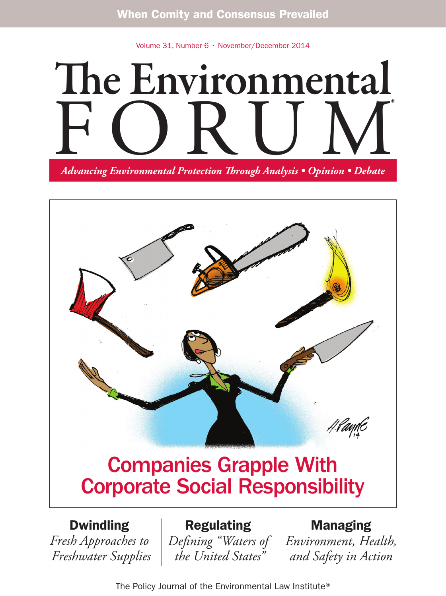Volume 31, Number 6 • November/December 2014

# The Environmental FORUM *Advancing Environmental Protection Through Analysis • Opinion • Debate* ®



## Companies Grapple With Corporate Social Responsibility

#### Dwindling

*Fresh Approaches to Freshwater Supplies*

Regulating *Defining "Waters of*

 *the United States"*

#### Managing

*Environment, Health, and Safety in Action*

The Policy Journal of the Environmental Law Institute®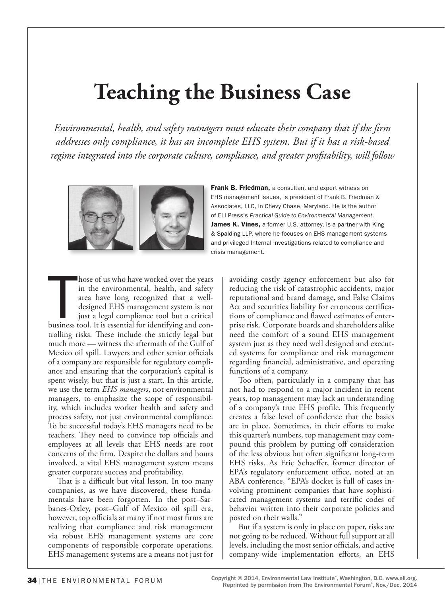## **Teaching the Business Case**

*Environmental, health, and safety managers must educate their company that if the firm addresses only compliance, it has an incomplete EHS system. But if it has a risk-based regime integrated into the corporate culture, compliance, and greater profitability, will follow*



**Frank B. Friedman.** a consultant and expert witness on EHS management issues, is president of Frank B. Friedman & Associates, LLC, in Chevy Chase, Maryland. He is the author of ELI Press's *Practical Guide to Environmental Management*. James K. Vines, a former U.S. attorney, is a partner with King & Spalding LLP, where he focuses on EHS management systems and privileged Internal Investigations related to compliance and crisis management.

hose of us who have worked over the years<br>in the environmental, health, and safety<br>area have long recognized that a well-<br>designed EHS management system is not<br>just a legal compliance tool but a critical<br>business tool. It hose of us who have worked over the years in the environmental, health, and safety area have long recognized that a welldesigned EHS management system is not just a legal compliance tool but a critical trolling risks. These include the strictly legal but much more — witness the aftermath of the Gulf of Mexico oil spill. Lawyers and other senior officials of a company are responsible for regulatory compliance and ensuring that the corporation's capital is spent wisely, but that is just a start. In this article, we use the term *EHS managers*, not environmental managers, to emphasize the scope of responsibility, which includes worker health and safety and process safety, not just environmental compliance. To be successful today's EHS managers need to be teachers. They need to convince top officials and employees at all levels that EHS needs are root concerns of the firm. Despite the dollars and hours involved, a vital EHS management system means greater corporate success and profitability.

That is a difficult but vital lesson. In too many companies, as we have discovered, these fundamentals have been forgotten. In the post–Sarbanes-Oxley, post–Gulf of Mexico oil spill era, however, top officials at many if not most firms are realizing that compliance and risk management via robust EHS management systems are core components of responsible corporate operations. EHS management systems are a means not just for

avoiding costly agency enforcement but also for reducing the risk of catastrophic accidents, major reputational and brand damage, and False Claims Act and securities liability for erroneous certifications of compliance and flawed estimates of enterprise risk. Corporate boards and shareholders alike need the comfort of a sound EHS management system just as they need well designed and executed systems for compliance and risk management regarding financial, administrative, and operating functions of a company.

Too often, particularly in a company that has not had to respond to a major incident in recent years, top management may lack an understanding of a company's true EHS profile. This frequently creates a false level of confidence that the basics are in place. Sometimes, in their efforts to make this quarter's numbers, top management may compound this problem by putting off consideration of the less obvious but often significant long-term EHS risks. As Eric Schaeffer, former director of EPA's regulatory enforcement office, noted at an ABA conference, "EPA's docket is full of cases involving prominent companies that have sophisticated management systems and terrific codes of behavior written into their corporate policies and posted on their walls."

But if a system is only in place on paper, risks are not going to be reduced. Without full support at all levels, including the most senior officials, and active company-wide implementation efforts, an EHS

Copyright © 2014, Environmental Law Institute®, Washington, D.C. www.eli.org. Reprinted by permission from The Environmental Forum®, Nov./Dec. 2014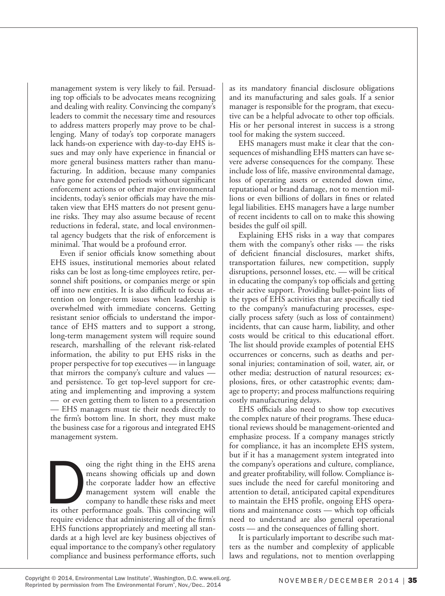management system is very likely to fail. Persuading top officials to be advocates means recognizing and dealing with reality. Convincing the company's leaders to commit the necessary time and resources to address matters properly may prove to be challenging. Many of today's top corporate managers lack hands-on experience with day-to-day EHS issues and may only have experience in financial or more general business matters rather than manufacturing. In addition, because many companies have gone for extended periods without significant enforcement actions or other major environmental incidents, today's senior officials may have the mistaken view that EHS matters do not present genuine risks. They may also assume because of recent reductions in federal, state, and local environmental agency budgets that the risk of enforcement is minimal. That would be a profound error.

Even if senior officials know something about EHS issues, institutional memories about related risks can be lost as long-time employees retire, personnel shift positions, or companies merge or spin off into new entities. It is also difficult to focus attention on longer-term issues when leadership is overwhelmed with immediate concerns. Getting resistant senior officials to understand the importance of EHS matters and to support a strong, long-term management system will require sound research, marshalling of the relevant risk-related information, the ability to put EHS risks in the proper perspective for top executives — in language that mirrors the company's culture and values and persistence. To get top-level support for creating and implementing and improving a system — or even getting them to listen to a presentation — EHS managers must tie their needs directly to the firm's bottom line. In short, they must make the business case for a rigorous and integrated EHS management system.

oing the right thing in the EHS arena<br>
means showing officials up and down<br>
the corporate ladder how an effective<br>
management system will enable the<br>
company to handle these risks and meet<br>
its other performance goals. Thi means showing officials up and down the corporate ladder how an effective management system will enable the company to handle these risks and meet require evidence that administering all of the firm's EHS functions appropriately and meeting all standards at a high level are key business objectives of equal importance to the company's other regulatory compliance and business performance efforts, such

as its mandatory financial disclosure obligations and its manufacturing and sales goals. If a senior manager is responsible for the program, that executive can be a helpful advocate to other top officials. His or her personal interest in success is a strong tool for making the system succeed.

EHS managers must make it clear that the consequences of mishandling EHS matters can have severe adverse consequences for the company. These include loss of life, massive environmental damage, loss of operating assets or extended down time, reputational or brand damage, not to mention millions or even billions of dollars in fines or related legal liabilities. EHS managers have a large number of recent incidents to call on to make this showing besides the gulf oil spill.

Explaining EHS risks in a way that compares them with the company's other risks — the risks of deficient financial disclosures, market shifts, transportation failures, new competition, supply disruptions, personnel losses, etc. — will be critical in educating the company's top officials and getting their active support. Providing bullet-point lists of the types of EHS activities that are specifically tied to the company's manufacturing processes, especially process safety (such as loss of containment) incidents, that can cause harm, liability, and other costs would be critical to this educational effort. The list should provide examples of potential EHS occurrences or concerns, such as deaths and personal injuries; contamination of soil, water, air, or other media; destruction of natural resources; explosions, fires, or other catastrophic events; damage to property; and process malfunctions requiring costly manufacturing delays.

EHS officials also need to show top executives the complex nature of their programs. These educational reviews should be management-oriented and emphasize process. If a company manages strictly for compliance, it has an incomplete EHS system, but if it has a management system integrated into the company's operations and culture, compliance, and greater profitability, will follow. Compliance issues include the need for careful monitoring and attention to detail, anticipated capital expenditures to maintain the EHS profile, ongoing EHS operations and maintenance costs — which top officials need to understand are also general operational costs — and the consequences of falling short.

It is particularly important to describe such matters as the number and complexity of applicable laws and regulations, not to mention overlapping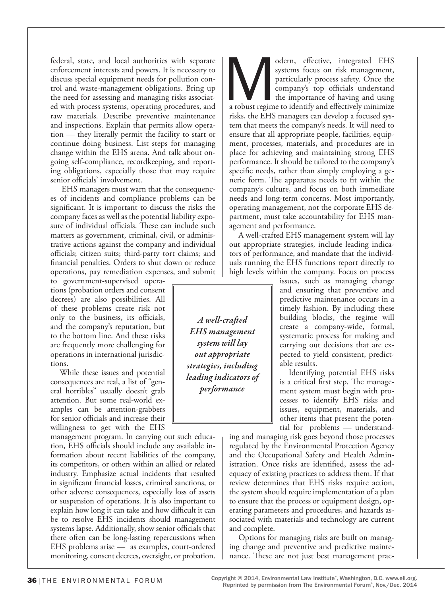federal, state, and local authorities with separate enforcement interests and powers. It is necessary to discuss special equipment needs for pollution control and waste-management obligations. Bring up the need for assessing and managing risks associated with process systems, operating procedures, and raw materials. Describe preventive maintenance and inspections. Explain that permits allow operation — they literally permit the facility to start or continue doing business. List steps for managing change within the EHS arena. And talk about ongoing self-compliance, recordkeeping, and reporting obligations, especially those that may require senior officials' involvement.

 EHS managers must warn that the consequences of incidents and compliance problems can be significant. It is important to discuss the risks the company faces as well as the potential liability exposure of individual officials. These can include such matters as government, criminal, civil, or administrative actions against the company and individual officials; citizen suits; third-party tort claims; and financial penalties. Orders to shut down or reduce operations, pay remediation expenses, and submit

to government-supervised operations (probation orders and consent decrees) are also possibilities. All of these problems create risk not only to the business, its officials, and the company's reputation, but to the bottom line. And these risks are frequently more challenging for operations in international jurisdictions.

While these issues and potential consequences are real, a list of "general horribles" usually doesn't grab attention. But some real-world examples can be attention-grabbers for senior officials and increase their willingness to get with the EHS

management program. In carrying out such education, EHS officials should include any available information about recent liabilities of the company, its competitors, or others within an allied or related industry. Emphasize actual incidents that resulted in significant financial losses, criminal sanctions, or other adverse consequences, especially loss of assets or suspension of operations. It is also important to explain how long it can take and how difficult it can be to resolve EHS incidents should management systems lapse. Additionally, show senior officials that there often can be long-lasting repercussions when EHS problems arise — as examples, court-ordered monitoring, consent decrees, oversight, or probation.

odern, effective, integrated EHS systems focus on risk management, particularly process safety. Once the company's top officials understand the importance of having and using a robust regime to identify and effectively min systems focus on risk management, particularly process safety. Once the company's top officials understand the importance of having and using risks, the EHS managers can develop a focused system that meets the company's needs. It will need to ensure that all appropriate people, facilities, equipment, processes, materials, and procedures are in place for achieving and maintaining strong EHS performance. It should be tailored to the company's specific needs, rather than simply employing a generic form. The apparatus needs to fit within the company's culture, and focus on both immediate needs and long-term concerns. Most importantly, operating management, not the corporate EHS department, must take accountability for EHS management and performance.

A well-crafted EHS management system will lay out appropriate strategies, include leading indicators of performance, and mandate that the individuals running the EHS functions report directly to high levels within the company. Focus on process

> issues, such as managing change and ensuring that preventive and predictive maintenance occurs in a timely fashion. By including these building blocks, the regime will create a company-wide, formal, systematic process for making and carrying out decisions that are expected to yield consistent, predictable results.

> Identifying potential EHS risks is a critical first step. The management system must begin with processes to identify EHS risks and issues, equipment, materials, and other items that present the potential for problems — understand-

ing and managing risk goes beyond those processes regulated by the Environmental Protection Agency and the Occupational Safety and Health Administration. Once risks are identified, assess the adequacy of existing practices to address them. If that review determines that EHS risks require action, the system should require implementation of a plan to ensure that the process or equipment design, operating parameters and procedures, and hazards associated with materials and technology are current and complete.

Options for managing risks are built on managing change and preventive and predictive maintenance. These are not just best management prac-

*A well-crafted EHS management system will lay out appropriate strategies, including leading indicators of performance*

Copyright © 2014, Environmental Law Institute®, Washington, D.C. www.eli.org. Reprinted by permission from The Environmental Forum®, Nov./Dec. 2014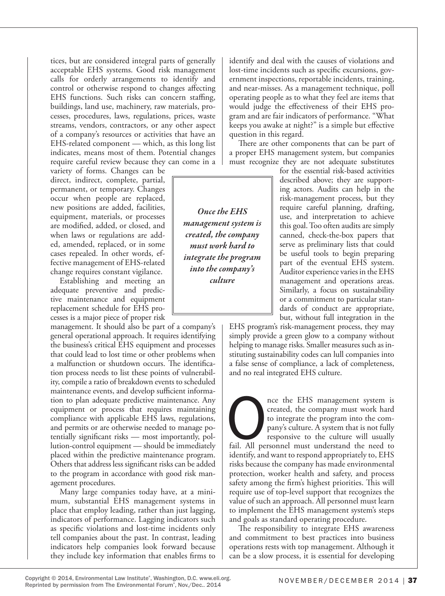tices, but are considered integral parts of generally acceptable EHS systems. Good risk management calls for orderly arrangements to identify and control or otherwise respond to changes affecting EHS functions. Such risks can concern staffing, buildings, land use, machinery, raw materials, processes, procedures, laws, regulations, prices, waste streams, vendors, contractors, or any other aspect of a company's resources or activities that have an EHS-related component — which, as this long list indicates, means most of them. Potential changes require careful review because they can come in a

variety of forms. Changes can be direct, indirect, complete, partial, permanent, or temporary. Changes occur when people are replaced, new positions are added, facilities, equipment, materials, or processes are modified, added, or closed, and when laws or regulations are added, amended, replaced, or in some cases repealed. In other words, effective management of EHS-related change requires constant vigilance.

Establishing and meeting an adequate preventive and predictive maintenance and equipment replacement schedule for EHS processes is a major piece of proper risk

management. It should also be part of a company's general operational approach. It requires identifying the business's critical EHS equipment and processes that could lead to lost time or other problems when a malfunction or shutdown occurs. The identification process needs to list these points of vulnerability, compile a ratio of breakdown events to scheduled maintenance events, and develop sufficient information to plan adequate predictive maintenance. Any equipment or process that requires maintaining compliance with applicable EHS laws, regulations, and permits or are otherwise needed to manage potentially significant risks — most importantly, pollution-control equipment — should be immediately placed within the predictive maintenance program. Others that address less significant risks can be added to the program in accordance with good risk management procedures.

Many large companies today have, at a minimum, substantial EHS management systems in place that employ leading, rather than just lagging, indicators of performance. Lagging indicators such as specific violations and lost-time incidents only tell companies about the past. In contrast, leading indicators help companies look forward because they include key information that enables firms to

identify and deal with the causes of violations and lost-time incidents such as specific excursions, government inspections, reportable incidents, training, and near-misses. As a management technique, poll operating people as to what they feel are items that would judge the effectiveness of their EHS program and are fair indicators of performance. "What keeps you awake at night?" is a simple but effective question in this regard.

There are other components that can be part of a proper EHS management system, but companies must recognize they are not adequate substitutes

> for the essential risk-based activities described above; they are supporting actors. Audits can help in the risk-management process, but they require careful planning, drafting, use, and interpretation to achieve this goal. Too often audits are simply canned, check-the-box papers that serve as preliminary lists that could be useful tools to begin preparing part of the eventual EHS system. Auditor experience varies in the EHS management and operations areas. Similarly, a focus on sustainability or a commitment to particular standards of conduct are appropriate, but, without full integration in the

EHS program's risk-management process, they may simply provide a green glow to a company without helping to manage risks. Smaller measures such as instituting sustainability codes can lull companies into a false sense of compliance, a lack of completeness, and no real integrated EHS culture.

nce the EHS management system is<br>
to integrate the program into the com-<br>
pany's culture. A system that is not fully<br>
responsive to the culture will usually<br>
fail. All personnel must understand the need to created, the company must work hard to integrate the program into the company's culture. A system that is not fully responsive to the culture will usually identify, and want to respond appropriately to, EHS risks because the company has made environmental protection, worker health and safety, and process safety among the firm's highest priorities. This will require use of top-level support that recognizes the value of such an approach. All personnel must learn to implement the EHS management system's steps and goals as standard operating procedure.

The responsibility to integrate EHS awareness and commitment to best practices into business operations rests with top management. Although it can be a slow process, it is essential for developing

*Once the EHS management system is created, the company must work hard to integrate the program into the company's culture*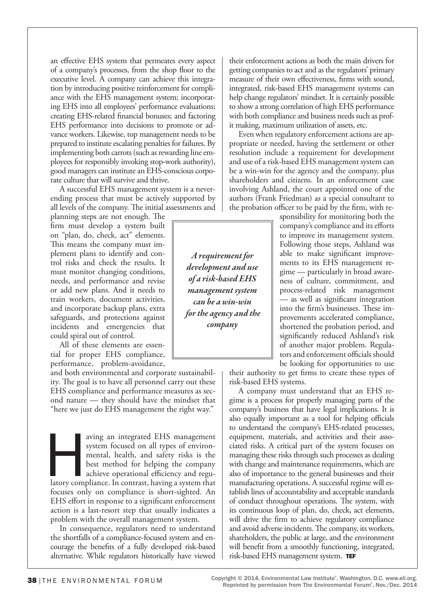an effective EHS system that permeates every aspect of a company's processes, from the shop floor to the executive level. A company can achieve this integration by introducing positive reinforcement for compliance with the EHS management system; incorporating EHS into all employees' performance evaluations; creating EHS-related financial bonuses; and factoring EHS performance into decisions to promote or advance workers. Likewise, top management needs to be prepared to institute escalating penalties for failures. By implementing both carrots (such as rewarding line employees for responsibly invoking stop-work authority), good managers can institute an EHS-conscious corporate culture that will survive and thrive.

A successful EHS management system is a neverending process that must be actively supported by all levels of the company. The initial assessments and

planning steps are not enough. The firm must develop a system built on "plan, do, check, act" elements. This means the company must implement plans to identify and control risks and check the results. It must monitor changing conditions, needs, and performance and revise or add new plans. And it needs to train workers, document activities, and incorporate backup plans, extra safeguards, and protections against incidents and emergencies that could spiral out of control.

All of these elements are essential for proper EHS compliance, performance, problem-avoidance,

and both environmental and corporate sustainability. The goal is to have all personnel carry out these EHS compliance and performance measures as second nature — they should have the mindset that "here we just do EHS management the right way."

aving an integrated EHS management system focused on all types of environmental, health, and safety risks is the best method for helping the company achieve operational efficiency and regulatory compliance. In contrast, ha system focused on all types of environmental, health, and safety risks is the best method for helping the company achieve operational efficiency and regufocuses only on compliance is short-sighted. An EHS effort in response to a significant enforcement action is a last-resort step that usually indicates a problem with the overall management system.

In consequence, regulators need to understand the shortfalls of a compliance-focused system and encourage the benefits of a fully developed risk-based alternative. While regulators historically have viewed their enforcement actions as both the main drivers for getting companies to act and as the regulators' primary measure of their own effectiveness, firms with sound, integrated, risk-based EHS management systems can help change regulators' mindset. It is certainly possible to show a strong correlation of high EHS performance with both compliance and business needs such as profit making, maximum utilization of assets, etc.

Even when regulatory enforcement actions are appropriate or needed, having the settlement or other resolution include a requirement for development and use of a risk-based EHS management system can be a win-win for the agency and the company, plus shareholders and citizens. In an enforcement case involving Ashland, the court appointed one of the authors (Frank Friedman) as a special consultant to the probation officer to be paid by the firm, with re-

sponsibility for monitoring both the company's compliance and its efforts to improve its management system. Following those steps, Ashland was able to make significant improvements to its EHS management regime — particularly in broad awareness of culture, commitment, and process-related risk management — as well as significant integration into the firm's businesses. These improvements accelerated compliance, shortened the probation period, and significantly reduced Ashland's risk of another major problem. Regulators and enforcement officials should be looking for opportunities to use

their authority to get firms to create these types of risk-based EHS systems.

A company must understand that an EHS regime is a process for properly managing parts of the company's business that have legal implications. It is also equally important as a tool for helping officials to understand the company's EHS-related processes, equipment, materials, and activities and their associated risks. A critical part of the system focuses on managing these risks through such processes as dealing with change and maintenance requirements, which are also of importance to the general businesses and their manufacturing operations. A successful regime will establish lines of accountability and acceptable standards of conduct throughout operations. The system, with its continuous loop of plan, do, check, act elements, will drive the firm to achieve regulatory compliance and avoid adverse incidents. The company, its workers, shareholders, the public at large, and the environment will benefit from a smoothly functioning, integrated, risk-based EHS management system. TEF

*A requirement for development and use of a risk-based EHS management system can be a win-win for the agency and the company*

Copyright © 2014, Environmental Law Institute®, Washington, D.C. www.eli.org. Reprinted by permission from The Environmental Forum®, Nov./Dec. 2014